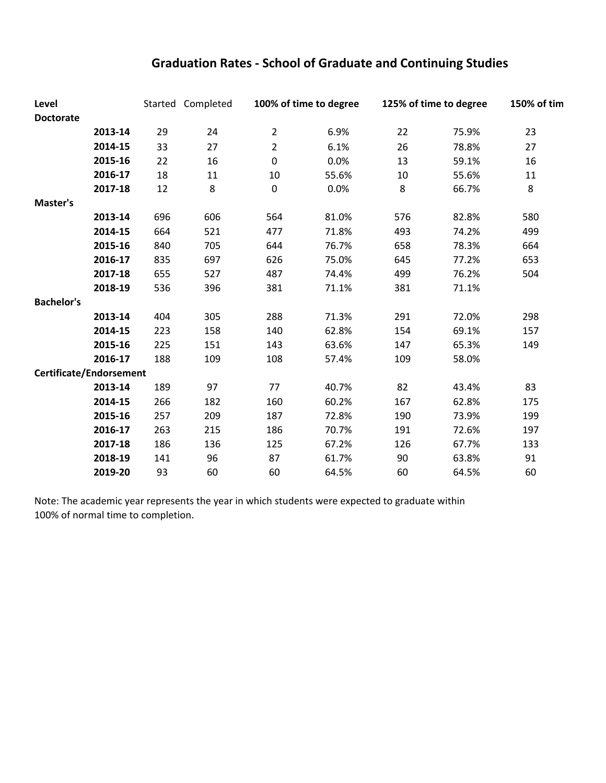## **Graduation Rates ‐ School of Graduate and Continuing Studies**

| Level<br><b>Doctorate</b> |         |     | Started Completed | 100% of time to degree |       | 125% of time to degree |       | 150% of tim |  |
|---------------------------|---------|-----|-------------------|------------------------|-------|------------------------|-------|-------------|--|
|                           | 2013-14 | 29  | 24                | $\overline{2}$         | 6.9%  | 22                     | 75.9% | 23          |  |
|                           | 2014-15 | 33  | 27                | $\overline{2}$         | 6.1%  | 26                     | 78.8% | 27          |  |
|                           | 2015-16 | 22  | 16                | $\pmb{0}$              | 0.0%  | 13                     | 59.1% | 16          |  |
|                           | 2016-17 | 18  | 11                | 10                     | 55.6% | 10                     | 55.6% | 11          |  |
|                           | 2017-18 | 12  | 8                 | $\pmb{0}$              | 0.0%  | 8                      | 66.7% | 8           |  |
| Master's                  |         |     |                   |                        |       |                        |       |             |  |
|                           | 2013-14 | 696 | 606               | 564                    | 81.0% | 576                    | 82.8% | 580         |  |
|                           | 2014-15 | 664 | 521               | 477                    | 71.8% | 493                    | 74.2% | 499         |  |
|                           | 2015-16 | 840 | 705               | 644                    | 76.7% | 658                    | 78.3% | 664         |  |
|                           | 2016-17 | 835 | 697               | 626                    | 75.0% | 645                    | 77.2% | 653         |  |
|                           | 2017-18 | 655 | 527               | 487                    | 74.4% | 499                    | 76.2% | 504         |  |
|                           | 2018-19 | 536 | 396               | 381                    | 71.1% | 381                    | 71.1% |             |  |
| <b>Bachelor's</b>         |         |     |                   |                        |       |                        |       |             |  |
|                           | 2013-14 | 404 | 305               | 288                    | 71.3% | 291                    | 72.0% | 298         |  |
|                           | 2014-15 | 223 | 158               | 140                    | 62.8% | 154                    | 69.1% | 157         |  |
|                           | 2015-16 | 225 | 151               | 143                    | 63.6% | 147                    | 65.3% | 149         |  |
|                           | 2016-17 | 188 | 109               | 108                    | 57.4% | 109                    | 58.0% |             |  |
| Certificate/Endorsement   |         |     |                   |                        |       |                        |       |             |  |
|                           | 2013-14 | 189 | 97                | 77                     | 40.7% | 82                     | 43.4% | 83          |  |
|                           | 2014-15 | 266 | 182               | 160                    | 60.2% | 167                    | 62.8% | 175         |  |
|                           | 2015-16 | 257 | 209               | 187                    | 72.8% | 190                    | 73.9% | 199         |  |
|                           | 2016-17 | 263 | 215               | 186                    | 70.7% | 191                    | 72.6% | 197         |  |
|                           | 2017-18 | 186 | 136               | 125                    | 67.2% | 126                    | 67.7% | 133         |  |
|                           | 2018-19 | 141 | 96                | 87                     | 61.7% | 90                     | 63.8% | 91          |  |
|                           | 2019-20 | 93  | 60                | 60                     | 64.5% | 60                     | 64.5% | 60          |  |

Note: The academic year represents the year in which students were expected to graduate within 100% of normal time to completion.